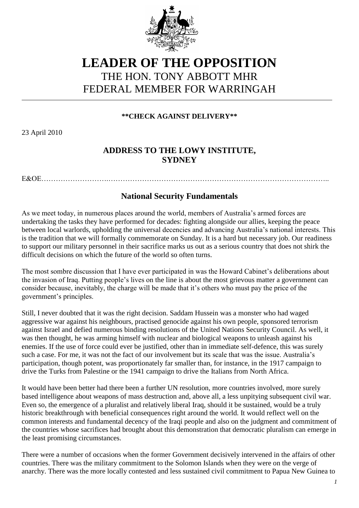

## **LEADER OF THE OPPOSITION** THE HON. TONY ABBOTT MHR FEDERAL MEMBER FOR WARRINGAH

**\*\*CHECK AGAINST DELIVERY\*\***

23 April 2010

## **ADDRESS TO THE LOWY INSTITUTE, SYDNEY**

E&OE

## **National Security Fundamentals**

As we meet today, in numerous places around the world, members of Australia"s armed forces are undertaking the tasks they have performed for decades: fighting alongside our allies, keeping the peace between local warlords, upholding the universal decencies and advancing Australia"s national interests. This is the tradition that we will formally commemorate on Sunday. It is a hard but necessary job. Our readiness to support our military personnel in their sacrifice marks us out as a serious country that does not shirk the difficult decisions on which the future of the world so often turns.

The most sombre discussion that I have ever participated in was the Howard Cabinet"s deliberations about the invasion of Iraq. Putting people"s lives on the line is about the most grievous matter a government can consider because, inevitably, the charge will be made that it"s others who must pay the price of the government"s principles.

Still, I never doubted that it was the right decision. Saddam Hussein was a monster who had waged aggressive war against his neighbours, practised genocide against his own people, sponsored terrorism against Israel and defied numerous binding resolutions of the United Nations Security Council. As well, it was then thought, he was arming himself with nuclear and biological weapons to unleash against his enemies. If the use of force could ever be justified, other than in immediate self-defence, this was surely such a case. For me, it was not the fact of our involvement but its scale that was the issue. Australia"s participation, though potent, was proportionately far smaller than, for instance, in the 1917 campaign to drive the Turks from Palestine or the 1941 campaign to drive the Italians from North Africa.

It would have been better had there been a further UN resolution, more countries involved, more surely based intelligence about weapons of mass destruction and, above all, a less unpitying subsequent civil war. Even so, the emergence of a pluralist and relatively liberal Iraq, should it be sustained, would be a truly historic breakthrough with beneficial consequences right around the world. It would reflect well on the common interests and fundamental decency of the Iraqi people and also on the judgment and commitment of the countries whose sacrifices had brought about this demonstration that democratic pluralism can emerge in the least promising circumstances.

There were a number of occasions when the former Government decisively intervened in the affairs of other countries. There was the military commitment to the Solomon Islands when they were on the verge of anarchy. There was the more locally contested and less sustained civil commitment to Papua New Guinea to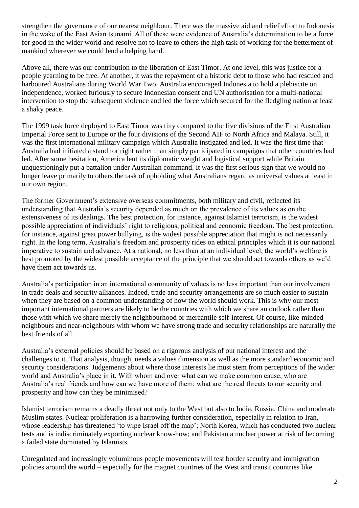strengthen the governance of our nearest neighbour. There was the massive aid and relief effort to Indonesia in the wake of the East Asian tsunami. All of these were evidence of Australia"s determination to be a force for good in the wider world and resolve not to leave to others the high task of working for the betterment of mankind wherever we could lend a helping hand.

Above all, there was our contribution to the liberation of East Timor. At one level, this was justice for a people yearning to be free. At another, it was the repayment of a historic debt to those who had rescued and harboured Australians during World War Two. Australia encouraged Indonesia to hold a plebiscite on independence, worked furiously to secure Indonesian consent and UN authorisation for a multi-national intervention to stop the subsequent violence and led the force which secured for the fledgling nation at least a shaky peace.

The 1999 task force deployed to East Timor was tiny compared to the five divisions of the First Australian Imperial Force sent to Europe or the four divisions of the Second AIF to North Africa and Malaya. Still, it was the first international military campaign which Australia instigated and led. It was the first time that Australia had initiated a stand for right rather than simply participated in campaigns that other countries had led. After some hesitation, America lent its diplomatic weight and logistical support while Britain unquestioningly put a battalion under Australian command. It was the first serious sign that we would no longer leave primarily to others the task of upholding what Australians regard as universal values at least in our own region.

The former Government's extensive overseas commitments, both military and civil, reflected its understanding that Australia"s security depended as much on the prevalence of its values as on the extensiveness of its dealings. The best protection, for instance, against Islamist terrorism, is the widest possible appreciation of individuals" right to religious, political and economic freedom. The best protection, for instance, against great power bullying, is the widest possible appreciation that might is not necessarily right. In the long term, Australia"s freedom and prosperity rides on ethical principles which it is our national imperative to sustain and advance. At a national, no less than at an individual level, the world"s welfare is best promoted by the widest possible acceptance of the principle that we should act towards others as we'd have them act towards us.

Australia"s participation in an international community of values is no less important than our involvement in trade deals and security alliances. Indeed, trade and security arrangements are so much easier to sustain when they are based on a common understanding of how the world should work. This is why our most important international partners are likely to be the countries with which we share an outlook rather than those with which we share merely the neighbourhood or mercantile self-interest. Of course, like-minded neighbours and near-neighbours with whom we have strong trade and security relationships are naturally the best friends of all.

Australia"s external policies should be based on a rigorous analysis of our national interest and the challenges to it. That analysis, though, needs a values dimension as well as the more standard economic and security considerations. Judgements about where those interests lie must stem from perceptions of the wider world and Australia's place in it. With whom and over what can we make common cause; who are Australia"s real friends and how can we have more of them; what are the real threats to our security and prosperity and how can they be minimised?

Islamist terrorism remains a deadly threat not only to the West but also to India, Russia, China and moderate Muslim states. Nuclear proliferation is a harrowing further consideration, especially in relation to Iran, whose leadership has threatened 'to wipe Israel off the map'; North Korea, which has conducted two nuclear tests and is indiscriminately exporting nuclear know-how; and Pakistan a nuclear power at risk of becoming a failed state dominated by Islamists.

Unregulated and increasingly voluminous people movements will test border security and immigration policies around the world – especially for the magnet countries of the West and transit countries like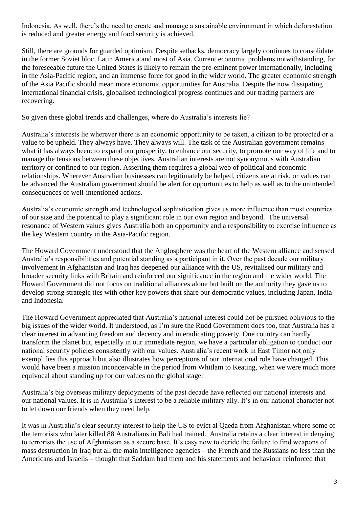Indonesia. As well, there"s the need to create and manage a sustainable environment in which deforestation is reduced and greater energy and food security is achieved.

Still, there are grounds for guarded optimism. Despite setbacks, democracy largely continues to consolidate in the former Soviet bloc, Latin America and most of Asia. Current economic problems notwithstanding, for the foreseeable future the United States is likely to remain the pre-eminent power internationally, including in the Asia-Pacific region, and an immense force for good in the wider world. The greater economic strength of the Asia Pacific should mean more economic opportunities for Australia. Despite the now dissipating international financial crisis, globalised technological progress continues and our trading partners are recovering.

So given these global trends and challenges, where do Australia"s interests lie?

Australia"s interests lie wherever there is an economic opportunity to be taken, a citizen to be protected or a value to be upheld. They always have. They always will. The task of the Australian government remains what it has always been: to expand our prosperity, to enhance our security, to promote our way of life and to manage the tensions between these objectives. Australian interests are not synonymous with Australian territory or confined to our region. Asserting them requires a global web of political and economic relationships. Wherever Australian businesses can legitimately be helped, citizens are at risk, or values can be advanced the Australian government should be alert for opportunities to help as well as to the unintended consequences of well-intentioned actions.

Australia"s economic strength and technological sophistication gives us more influence than most countries of our size and the potential to play a significant role in our own region and beyond. The universal resonance of Western values gives Australia both an opportunity and a responsibility to exercise influence as the key Western country in the Asia-Pacific region.

The Howard Government understood that the Anglosphere was the heart of the Western alliance and sensed Australia"s responsibilities and potential standing as a participant in it. Over the past decade our military involvement in Afghanistan and Iraq has deepened our alliance with the US, revitalised our military and broader security links with Britain and reinforced our significance in the region and the wider world. The Howard Government did not focus on traditional alliances alone but built on the authority they gave us to develop strong strategic ties with other key powers that share our democratic values, including Japan, India and Indonesia.

The Howard Government appreciated that Australia"s national interest could not be pursued oblivious to the big issues of the wider world. It understood, as I"m sure the Rudd Government does too, that Australia has a clear interest in advancing freedom and decency and in eradicating poverty. One country can hardly transform the planet but, especially in our immediate region, we have a particular obligation to conduct our national security policies consistently with our values. Australia"s recent work in East Timor not only exemplifies this approach but also illustrates how perceptions of our international role have changed. This would have been a mission inconceivable in the period from Whitlam to Keating, when we were much more equivocal about standing up for our values on the global stage.

Australia"s big overseas military deployments of the past decade have reflected our national interests and our national values. It is in Australia"s interest to be a reliable military ally. It"s in our national character not to let down our friends when they need help.

It was in Australia"s clear security interest to help the US to evict al Qaeda from Afghanistan where some of the terrorists who later killed 88 Australians in Bali had trained. Australia retains a clear interest in denying to terrorists the use of Afghanistan as a secure base. It"s easy now to deride the failure to find weapons of mass destruction in Iraq but all the main intelligence agencies – the French and the Russians no less than the Americans and Israelis – thought that Saddam had them and his statements and behaviour reinforced that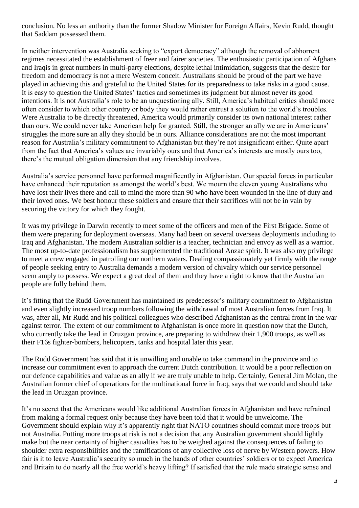conclusion. No less an authority than the former Shadow Minister for Foreign Affairs, Kevin Rudd, thought that Saddam possessed them.

In neither intervention was Australia seeking to "export democracy" although the removal of abhorrent regimes necessitated the establishment of freer and fairer societies. The enthusiastic participation of Afghans and Iraqis in great numbers in multi-party elections, despite lethal intimidation, suggests that the desire for freedom and democracy is not a mere Western conceit. Australians should be proud of the part we have played in achieving this and grateful to the United States for its preparedness to take risks in a good cause. It is easy to question the United States' tactics and sometimes its judgment but almost never its good intentions. It is not Australia's role to be an unquestioning ally. Still, America's habitual critics should more often consider to which other country or body they would rather entrust a solution to the world"s troubles. Were Australia to be directly threatened, America would primarily consider its own national interest rather than ours. We could never take American help for granted. Still, the stronger an ally we are in Americans" struggles the more sure an ally they should be in ours. Alliance considerations are not the most important reason for Australia"s military commitment to Afghanistan but they"re not insignificant either. Quite apart from the fact that America"s values are invariably ours and that America"s interests are mostly ours too, there"s the mutual obligation dimension that any friendship involves.

Australia"s service personnel have performed magnificently in Afghanistan. Our special forces in particular have enhanced their reputation as amongst the world"s best. We mourn the eleven young Australians who have lost their lives there and call to mind the more than 90 who have been wounded in the line of duty and their loved ones. We best honour these soldiers and ensure that their sacrifices will not be in vain by securing the victory for which they fought.

It was my privilege in Darwin recently to meet some of the officers and men of the First Brigade. Some of them were preparing for deployment overseas. Many had been on several overseas deployments including to Iraq and Afghanistan. The modern Australian soldier is a teacher, technician and envoy as well as a warrior. The most up-to-date professionalism has supplemented the traditional Anzac spirit. It was also my privilege to meet a crew engaged in patrolling our northern waters. Dealing compassionately yet firmly with the range of people seeking entry to Australia demands a modern version of chivalry which our service personnel seem amply to possess. We expect a great deal of them and they have a right to know that the Australian people are fully behind them.

It's fitting that the Rudd Government has maintained its predecessor's military commitment to Afghanistan and even slightly increased troop numbers following the withdrawal of most Australian forces from Iraq. It was, after all, Mr Rudd and his political colleagues who described Afghanistan as the central front in the war against terror. The extent of our commitment to Afghanistan is once more in question now that the Dutch, who currently take the lead in Oruzgan province, are preparing to withdraw their 1,900 troops, as well as their F16s fighter-bombers, helicopters, tanks and hospital later this year.

The Rudd Government has said that it is unwilling and unable to take command in the province and to increase our commitment even to approach the current Dutch contribution. It would be a poor reflection on our defence capabilities and value as an ally if we are truly unable to help. Certainly, General Jim Molan, the Australian former chief of operations for the multinational force in Iraq, says that we could and should take the lead in Oruzgan province.

It"s no secret that the Americans would like additional Australian forces in Afghanistan and have refrained from making a formal request only because they have been told that it would be unwelcome. The Government should explain why it's apparently right that NATO countries should commit more troops but not Australia. Putting more troops at risk is not a decision that any Australian government should lightly make but the near certainty of higher casualties has to be weighed against the consequences of failing to shoulder extra responsibilities and the ramifications of any collective loss of nerve by Western powers. How fair is it to leave Australia's security so much in the hands of other countries' soldiers or to expect America and Britain to do nearly all the free world"s heavy lifting? If satisfied that the role made strategic sense and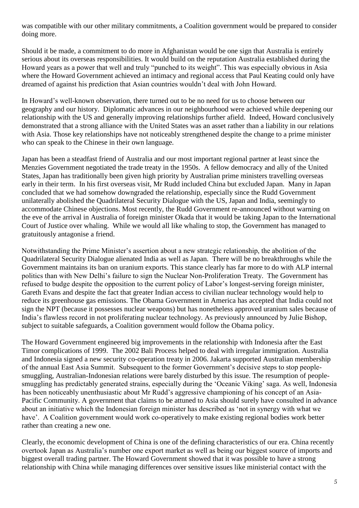was compatible with our other military commitments, a Coalition government would be prepared to consider doing more.

Should it be made, a commitment to do more in Afghanistan would be one sign that Australia is entirely serious about its overseas responsibilities. It would build on the reputation Australia established during the Howard years as a power that well and truly "punched to its weight". This was especially obvious in Asia where the Howard Government achieved an intimacy and regional access that Paul Keating could only have dreamed of against his prediction that Asian countries wouldn"t deal with John Howard.

In Howard"s well-known observation, there turned out to be no need for us to choose between our geography and our history. Diplomatic advances in our neighbourhood were achieved while deepening our relationship with the US and generally improving relationships further afield. Indeed, Howard conclusively demonstrated that a strong alliance with the United States was an asset rather than a liability in our relations with Asia. Those key relationships have not noticeably strengthened despite the change to a prime minister who can speak to the Chinese in their own language.

Japan has been a steadfast friend of Australia and our most important regional partner at least since the Menzies Government negotiated the trade treaty in the 1950s. A fellow democracy and ally of the United States, Japan has traditionally been given high priority by Australian prime ministers travelling overseas early in their term. In his first overseas visit, Mr Rudd included China but excluded Japan. Many in Japan concluded that we had somehow downgraded the relationship, especially since the Rudd Government unilaterally abolished the Quadrilateral Security Dialogue with the US, Japan and India, seemingly to accommodate Chinese objections. Most recently, the Rudd Government re-announced without warning on the eve of the arrival in Australia of foreign minister Okada that it would be taking Japan to the International Court of Justice over whaling. While we would all like whaling to stop, the Government has managed to gratuitously antagonise a friend.

Notwithstanding the Prime Minister"s assertion about a new strategic relationship, the abolition of the Quadrilateral Security Dialogue alienated India as well as Japan. There will be no breakthroughs while the Government maintains its ban on uranium exports. This stance clearly has far more to do with ALP internal politics than with New Delhi"s failure to sign the Nuclear Non-Proliferation Treaty. The Government has refused to budge despite the opposition to the current policy of Labor"s longest-serving foreign minister, Gareth Evans and despite the fact that greater Indian access to civilian nuclear technology would help to reduce its greenhouse gas emissions. The Obama Government in America has accepted that India could not sign the NPT (because it possesses nuclear weapons) but has nonetheless approved uranium sales because of India"s flawless record in not proliferating nuclear technology. As previously announced by Julie Bishop, subject to suitable safeguards, a Coalition government would follow the Obama policy.

The Howard Government engineered big improvements in the relationship with Indonesia after the East Timor complications of 1999. The 2002 Bali Process helped to deal with irregular immigration. Australia and Indonesia signed a new security co-operation treaty in 2006. Jakarta supported Australian membership of the annual East Asia Summit. Subsequent to the former Government's decisive steps to stop peoplesmuggling, Australian-Indonesian relations were barely disturbed by this issue. The resumption of peoplesmuggling has predictably generated strains, especially during the "Oceanic Viking" saga. As well, Indonesia has been noticeably unenthusiastic about Mr Rudd's aggressive championing of his concept of an Asia-Pacific Community. A government that claims to be attuned to Asia should surely have consulted in advance about an initiative which the Indonesian foreign minister has described as "not in synergy with what we have'. A Coalition government would work co-operatively to make existing regional bodies work better rather than creating a new one.

Clearly, the economic development of China is one of the defining characteristics of our era. China recently overtook Japan as Australia"s number one export market as well as being our biggest source of imports and biggest overall trading partner. The Howard Government showed that it was possible to have a strong relationship with China while managing differences over sensitive issues like ministerial contact with the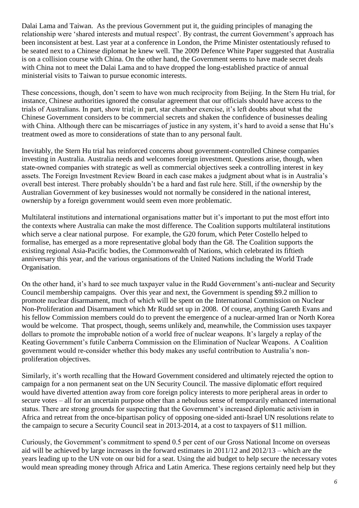Dalai Lama and Taiwan. As the previous Government put it, the guiding principles of managing the relationship were 'shared interests and mutual respect'. By contrast, the current Government's approach has been inconsistent at best. Last year at a conference in London, the Prime Minister ostentatiously refused to be seated next to a Chinese diplomat he knew well. The 2009 Defence White Paper suggested that Australia is on a collision course with China. On the other hand, the Government seems to have made secret deals with China not to meet the Dalai Lama and to have dropped the long-established practice of annual ministerial visits to Taiwan to pursue economic interests.

These concessions, though, don"t seem to have won much reciprocity from Beijing. In the Stern Hu trial, for instance, Chinese authorities ignored the consular agreement that our officials should have access to the trials of Australians. In part, show trial; in part, star chamber exercise, it"s left doubts about what the Chinese Government considers to be commercial secrets and shaken the confidence of businesses dealing with China. Although there can be miscarriages of justice in any system, it's hard to avoid a sense that Hu's treatment owed as more to considerations of state than to any personal fault.

Inevitably, the Stern Hu trial has reinforced concerns about government-controlled Chinese companies investing in Australia. Australia needs and welcomes foreign investment. Questions arise, though, when state-owned companies with strategic as well as commercial objectives seek a controlling interest in key assets. The Foreign Investment Review Board in each case makes a judgment about what is in Australia"s overall best interest. There probably shouldn"t be a hard and fast rule here. Still, if the ownership by the Australian Government of key businesses would not normally be considered in the national interest, ownership by a foreign government would seem even more problematic.

Multilateral institutions and international organisations matter but it's important to put the most effort into the contexts where Australia can make the most difference. The Coalition supports multilateral institutions which serve a clear national purpose. For example, the G20 forum, which Peter Costello helped to formalise, has emerged as a more representative global body than the G8. The Coalition supports the existing regional Asia-Pacific bodies, the Commonwealth of Nations, which celebrated its fiftieth anniversary this year, and the various organisations of the United Nations including the World Trade Organisation.

On the other hand, it"s hard to see much taxpayer value in the Rudd Government"s anti-nuclear and Security Council membership campaigns. Over this year and next, the Government is spending \$9.2 million to promote nuclear disarmament, much of which will be spent on the International Commission on Nuclear Non-Proliferation and Disarmament which Mr Rudd set up in 2008. Of course, anything Gareth Evans and his fellow Commission members could do to prevent the emergence of a nuclear-armed Iran or North Korea would be welcome. That prospect, though, seems unlikely and, meanwhile, the Commission uses taxpayer dollars to promote the improbable notion of a world free of nuclear weapons. It"s largely a replay of the Keating Government's futile Canberra Commission on the Elimination of Nuclear Weapons. A Coalition government would re-consider whether this body makes any useful contribution to Australia"s nonproliferation objectives.

Similarly, it's worth recalling that the Howard Government considered and ultimately rejected the option to campaign for a non permanent seat on the UN Security Council. The massive diplomatic effort required would have diverted attention away from core foreign policy interests to more peripheral areas in order to secure votes – all for an uncertain purpose other than a nebulous sense of temporarily enhanced international status. There are strong grounds for suspecting that the Government's increased diplomatic activism in Africa and retreat from the once-bipartisan policy of opposing one-sided anti-Israel UN resolutions relate to the campaign to secure a Security Council seat in 2013-2014, at a cost to taxpayers of \$11 million.

Curiously, the Government"s commitment to spend 0.5 per cent of our Gross National Income on overseas aid will be achieved by large increases in the forward estimates in 2011/12 and 2012/13 – which are the years leading up to the UN vote on our bid for a seat. Using the aid budget to help secure the necessary votes would mean spreading money through Africa and Latin America. These regions certainly need help but they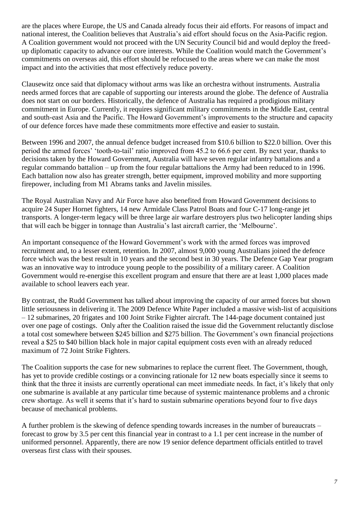are the places where Europe, the US and Canada already focus their aid efforts. For reasons of impact and national interest, the Coalition believes that Australia"s aid effort should focus on the Asia-Pacific region. A Coalition government would not proceed with the UN Security Council bid and would deploy the freedup diplomatic capacity to advance our core interests. While the Coalition would match the Government"s commitments on overseas aid, this effort should be refocused to the areas where we can make the most impact and into the activities that most effectively reduce poverty.

Clausewitz once said that diplomacy without arms was like an orchestra without instruments. Australia needs armed forces that are capable of supporting our interests around the globe. The defence of Australia does not start on our borders. Historically, the defence of Australia has required a prodigious military commitment in Europe. Currently, it requires significant military commitments in the Middle East, central and south-east Asia and the Pacific. The Howard Government's improvements to the structure and capacity of our defence forces have made these commitments more effective and easier to sustain.

Between 1996 and 2007, the annual defence budget increased from \$10.6 billion to \$22.0 billion. Over this period the armed forces' 'tooth-to-tail' ratio improved from 45.2 to 66.6 per cent. By next year, thanks to decisions taken by the Howard Government, Australia will have seven regular infantry battalions and a regular commando battalion – up from the four regular battalions the Army had been reduced to in 1996. Each battalion now also has greater strength, better equipment, improved mobility and more supporting firepower, including from M1 Abrams tanks and Javelin missiles.

The Royal Australian Navy and Air Force have also benefited from Howard Government decisions to acquire 24 Super Hornet fighters, 14 new Armidale Class Patrol Boats and four C-17 long-range jet transports. A longer-term legacy will be three large air warfare destroyers plus two helicopter landing ships that will each be bigger in tonnage than Australia"s last aircraft carrier, the "Melbourne".

An important consequence of the Howard Government's work with the armed forces was improved recruitment and, to a lesser extent, retention. In 2007, almost 9,000 young Australians joined the defence force which was the best result in 10 years and the second best in 30 years. The Defence Gap Year program was an innovative way to introduce young people to the possibility of a military career. A Coalition Government would re-energise this excellent program and ensure that there are at least 1,000 places made available to school leavers each year.

By contrast, the Rudd Government has talked about improving the capacity of our armed forces but shown little seriousness in delivering it. The 2009 Defence White Paper included a massive wish-list of acquisitions – 12 submarines, 20 frigates and 100 Joint Strike Fighter aircraft. The 144-page document contained just over one page of costings. Only after the Coalition raised the issue did the Government reluctantly disclose a total cost somewhere between \$245 billion and \$275 billion. The Government"s own financial projections reveal a \$25 to \$40 billion black hole in major capital equipment costs even with an already reduced maximum of 72 Joint Strike Fighters.

The Coalition supports the case for new submarines to replace the current fleet. The Government, though, has yet to provide credible costings or a convincing rationale for 12 new boats especially since it seems to think that the three it insists are currently operational can meet immediate needs. In fact, it"s likely that only one submarine is available at any particular time because of systemic maintenance problems and a chronic crew shortage. As well it seems that it"s hard to sustain submarine operations beyond four to five days because of mechanical problems.

A further problem is the skewing of defence spending towards increases in the number of bureaucrats – forecast to grow by 3.5 per cent this financial year in contrast to a 1.1 per cent increase in the number of uniformed personnel. Apparently, there are now 19 senior defence department officials entitled to travel overseas first class with their spouses.